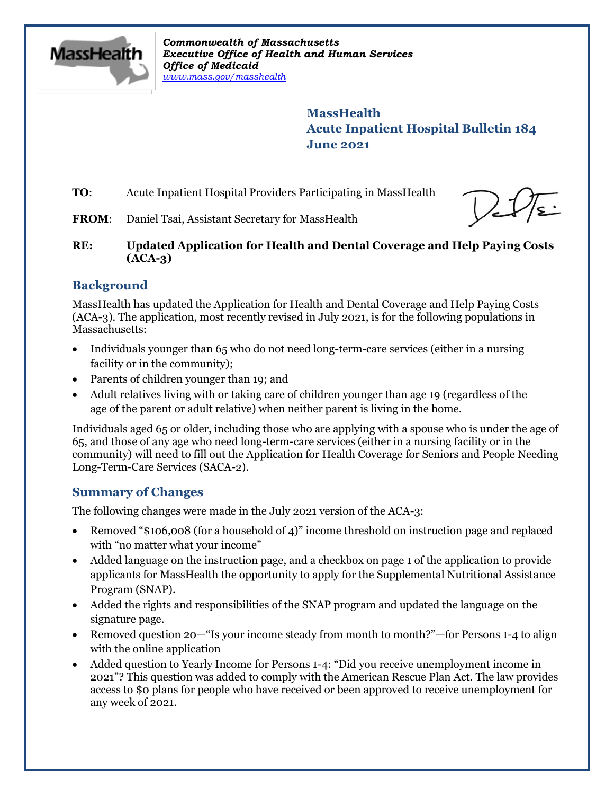

*Commonwealth of Massachusetts Executive Office of Health and Human Services Office of Medicaid [www.mass.gov/masshealth](http://www.mass.gov/masshealth)*

> **MassHealth Acute Inpatient Hospital Bulletin 184 June 2021**

**TO:** Acute Inpatient Hospital Providers Participating in MassHealth

**FROM:** Daniel Tsai, Assistant Secretary for MassHealth

**RE: Updated Application for Health and Dental Coverage and Help Paying Costs (ACA-3)**

# **Background**

MassHealth has updated the Application for Health and Dental Coverage and Help Paying Costs (ACA-3). The application, most recently revised in July 2021, is for the following populations in Massachusetts:

- Individuals younger than 65 who do not need long-term-care services (either in a nursing facility or in the community);
- Parents of children younger than 19; and
- Adult relatives living with or taking care of children younger than age 19 (regardless of the age of the parent or adult relative) when neither parent is living in the home.

Individuals aged 65 or older, including those who are applying with a spouse who is under the age of 65, and those of any age who need long-term-care services (either in a nursing facility or in the community) will need to fill out the Application for Health Coverage for Seniors and People Needing Long-Term-Care Services (SACA-2).

# **Summary of Changes**

The following changes were made in the July 2021 version of the ACA-3:

- Removed "\$106,008 (for a household of 4)" income threshold on instruction page and replaced with "no matter what your income"
- Added language on the instruction page, and a checkbox on page 1 of the application to provide applicants for MassHealth the opportunity to apply for the Supplemental Nutritional Assistance Program (SNAP).
- Added the rights and responsibilities of the SNAP program and updated the language on the signature page.
- Removed question 20—"Is your income steady from month to month?"—for Persons 1-4 to align with the online application
- Added question to Yearly Income for Persons 1-4: "Did you receive unemployment income in 2021"? This question was added to comply with the American Rescue Plan Act. The law provides access to \$0 plans for people who have received or been approved to receive unemployment for any week of 2021.